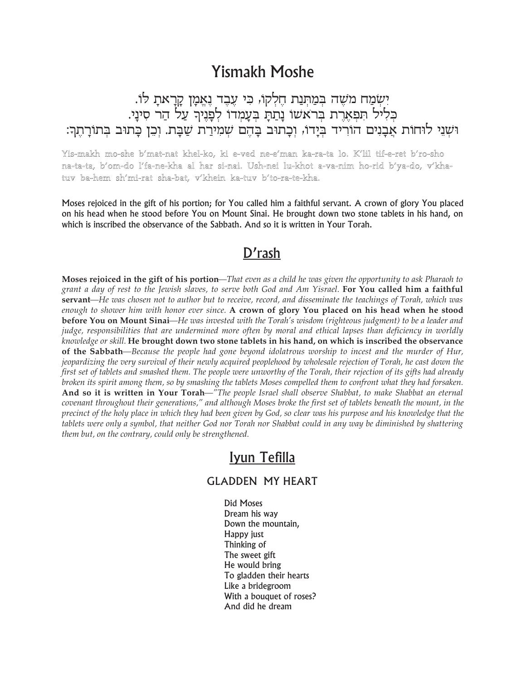# **Yismakh Moshe**

יִשְׂמַח מֹשֶׁה בְּמַתְּנַת חֶלְקוֹ, כִּי עֶבֶד נֶאֱמָן קָרָאתָ לוֹ. כליל הפארת בראשו נתת בעמדו לפניר על הר סיני. וּשְׁנֵי לוּחוֹת אַבַנִים הוֹרִיד בִּיַדוֹ, וִכַתוּב בַּהֵם שְׁמִירַת שַׁבַּת. וְכֵן כַּתוּב בִּתוֹרַתֵךְ:

#### Yis-makh mo-she b'mat-nat khel-ko, ki e-ved ne-e'man ka-ra-ta lo. K'lil tif-e-ret b'ro-sho na-ta-ta, b'om-do l'fa-ne-kha al har si-nai. Ush-nei lu-khot a-va-nim ho-rid b'ya-do, v'khatuv ba-hem sh'mi-rat sha-bat, v'khein ka-tuv b'to-ra-te-kha.

Moses rejoiced in the gift of his portion; for You called him a faithful servant. A crown of glory You placed on his head when he stood before You on Mount Sinai. He brought down two stone tablets in his hand, on which is inscribed the observance of the Sabbath. And so it is written in Your Torah.

## D'rash

Moses rejoiced in the gift of his portion—That even as a child he was given the opportunity to ask Pharaoh to grant a day of rest to the Jewish slaves, to serve both God and Am Yisrael. For You called him a faithful servant—He was chosen not to author but to receive, record, and disseminate the teachings of Torah, which was enough to shower him with honor ever since. A crown of glory You placed on his head when he stood **before You on Mount Sinai**—He was invested with the Torah's wisdom (righteous judgment) to be a leader and judge, responsibilities that are undermined more often by moral and ethical lapses than deficiency in worldly knowledge or skill. He brought down two stone tablets in his hand, on which is inscribed the observance of the Sabbath—Because the people had gone beyond idolatrous worship to incest and the murder of Hur, jeopardizing the very survival of their newly acquired peoplehood by wholesale rejection of Torah, he cast down the first set of tablets and smashed them. The people were unworthy of the Torah, their rejection of its gifts had already broken its spirit among them, so by smashing the tablets Moses compelled them to confront what they had forsaken. And so it is written in Your Torah—"The people Israel shall observe Shabbat, to make Shabbat an eternal covenant throughout their generations," and although Moses broke the first set of tablets beneath the mount, in the precinct of the holy place in which they had been given by God, so clear was his purpose and his knowledge that the tablets were only a symbol, that neither God nor Torah nor Shabbat could in any way be diminished by shattering them but, on the contrary, could only be strengthened.

### Iyun Tefilla

#### **GLADDEN MY HEART**

**Did Moses** Dream his way Down the mountain, Happy just Thinking of The sweet gift He would bring To gladden their hearts Like a bridegroom With a bouquet of roses? And did he dream